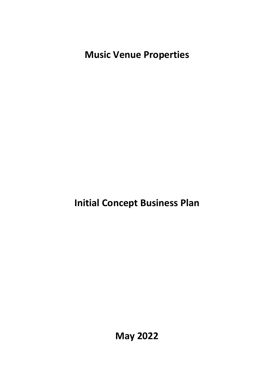**Music Venue Properties**

**Initial Concept Business Plan** 

**May 2022**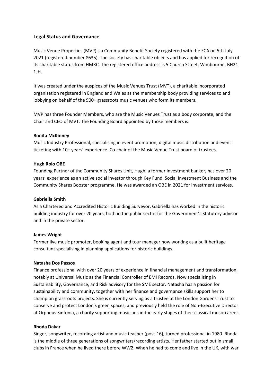# **Legal Status and Governance**

Music Venue Properties (MVP)is a Community Benefit Society registered with the FCA on 5th July 2021 (registered number 8635). The society has charitable objects and has applied for recognition of its charitable status from HMRC. The registered office address is 5 Church Street, Wimbourne, BH21 1JH.

It was created under the auspices of the Music Venues Trust (MVT), a charitable incorporated organisation registered in England and Wales as the membership body providing services to and lobbying on behalf of the 900+ grassroots music venues who form its members.

MVP has three Founder Members, who are the Music Venues Trust as a body corporate, and the Chair and CEO of MVT. The Founding Board appointed by those members is:

## **Bonita McKinney**

Music Industry Professional, specialising in event promotion, digital music distribution and event ticketing with 10+ years' experience. Co-chair of the Music Venue Trust board of trustees.

#### **Hugh Rolo OBE**

Founding Partner of the Community Shares Unit, Hugh, a former investment banker, has over 20 years' experience as an active social investor through Key Fund, Social Investment Business and the Community Shares Booster programme. He was awarded an OBE in 2021 for investment services.

## **Gabriella Smith**

As a Chartered and Accredited Historic Building Surveyor, Gabriella has worked in the historic building industry for over 20 years, both in the public sector for the Government's Statutory advisor and in the private sector.

#### **James Wright**

Former live music promoter, booking agent and tour manager now working as a built heritage consultant specialising in planning applications for historic buildings.

#### **Natasha Dos Passos**

Finance professional with over 20 years of experience in financial management and transformation, notably at Universal Music as the Financial Controller of EMI Records. Now specialising in Sustainability, Governance, and Risk advisory for the SME sector. Natasha has a passion for sustainability and community, together with her finance and governance skills support her to champion grassroots projects. She is currently serving as a trustee at the London Gardens Trust to conserve and protect London's green spaces, and previously held the role of Non-Executive Director at Orpheus Sinfonia, a charity supporting musicians in the early stages of their classical music career.

#### **Rhoda Dakar**

Singer, songwriter, recording artist and music teacher (post-16), turned professional in 1980. Rhoda is the middle of three generations of songwriters/recording artists. Her father started out in small clubs in France when he lived there before WW2. When he had to come and live in the UK, with war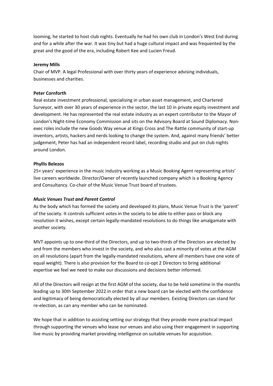looming, he started to host club nights. Eventually he had his own club in London's West End during and for a while after the war. It was tiny but had a huge cultural impact and was frequented by the great and the good of the era, including Robert Kee and Lucien Freud.

#### **Jeremy Mills**

Chair of MVP. A legal Professional with over thirty years of experience advising individuals, businesses and charities.

#### **Peter Cornforth**

Real estate investment professional, specialising in urban asset management, and Chartered Surveyor, with over 30 years of experience in the sector, the last 10 in private equity investment and development. He has represented the real estate industry as an expert contributor to the Mayor of London's Night-time Economy Commission and sits on the Advisory Board at Sound Diplomacy. Nonexec roles include the new Goods Way venue at Kings Cross and The Rattle community of start-up inventors, artists, hackers and nerds looking to change the system. And, against many friends' better judgement, Peter has had an independent record label, recording studio and put on club nights around London.

#### **Phyllis Belezos**

25+ years' experience in the music industry working as a Music Booking Agent representing artists' live careers worldwide. Director/Owner of recently launched company which is a Booking Agency and Consultancy. Co-chair of the Music Venue Trust board of trustees.

#### *Music Venues Trust and Parent Control*

As the body which has formed the society and developed its plans, Music Venue Trust is the 'parent' of the society. It controls sufficient votes in the society to be able to either pass or block any resolution it wishes, except certain legally-mandated resolutions to do things like amalgamate with another society.

MVT appoints up to one-third of the Directors, and up to two-thirds of the Directors are elected by and from the members who invest in the society, and who also cast a minority of votes at the AGM on all resolutions (apart from the legally-mandated resolutions, where all members have one vote of equal weight). There is also provision for the Board to co-opt 2 Directors to bring additional expertise we feel we need to make our discussions and decisions better informed.

All of the Directors will resign at the first AGM of the society, due to be held sometime in the months leading up to 30th September 2022 in order that a new board can be elected with the confidence and legitimacy of being democratically elected by all our members. Existing Directors can stand for re-election, as can any member who can be nominated.

We hope that in addition to assisting setting our strategy that they provide more practical impact through supporting the venues who lease our venues and also using their engagement in supporting live music by providing market providing intelligence on suitable venues for acquisition.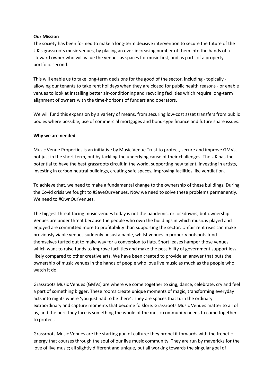## **Our Mission**

The society has been formed to make a long-term decisive intervention to secure the future of the UK's grassroots music venues, by placing an ever-increasing number of them into the hands of a steward owner who will value the venues as spaces for music first, and as parts of a property portfolio second.

This will enable us to take long-term decisions for the good of the sector, including - topically allowing our tenants to take rent holidays when they are closed for public health reasons - or enable venues to look at installing better air-conditioning and recycling facilities which require long-term alignment of owners with the time-horizons of funders and operators.

We will fund this expansion by a variety of means, from securing low-cost asset transfers from public bodies where possible, use of commercial mortgages and bond-type finance and future share issues.

# **Why we are needed**

Music Venue Properties is an initiative by Music Venue Trust to protect, secure and improve GMVs, not just in the short term, but by tackling the underlying cause of their challenges. The UK has the potential to have the best grassroots circuit in the world, supporting new talent, investing in artists, investing in carbon neutral buildings, creating safe spaces, improving facilities like ventilation.

To achieve that, we need to make a fundamental change to the ownership of these buildings. During the Covid crisis we fought to #SaveOurVenues. Now we need to solve these problems permanently. We need to #OwnOurVenues.

The biggest threat facing music venues today is not the pandemic, or lockdowns, but ownership. Venues are under threat because the people who own the buildings in which music is played and enjoyed are committed more to profitability than supporting the sector. Unfair rent rises can make previously viable venues suddenly unsustainable, whilst venues in property hotspots fund themselves turfed out to make way for a conversion to flats. Short leases hamper those venues which want to raise funds to improve facilities and make the possibility of government support less likely compared to other creative arts. We have been created to provide an answer that puts the ownership of music venues in the hands of people who love live music as much as the people who watch it do.

Grassroots Music Venues (GMVs) are where we come together to sing, dance, celebrate, cry and feel a part of something bigger. These rooms create unique moments of magic, transforming everyday acts into nights where 'you just had to be there'. They are spaces that turn the ordinary extraordinary and capture moments that become folklore. Grassroots Music Venues matter to all of us, and the peril they face is something the whole of the music community needs to come together to protect.

Grassroots Music Venues are the starting gun of culture: they propel it forwards with the frenetic energy that courses through the soul of our live music community. They are run by mavericks for the love of live music; all slightly different and unique, but all working towards the singular goal of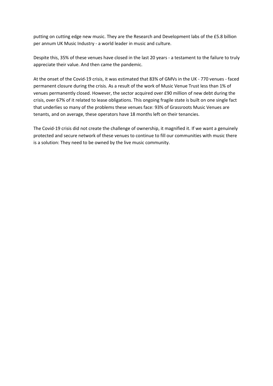putting on cutting edge new music. They are the Research and Development labs of the £5.8 billion per annum UK Music Industry - a world leader in music and culture.

Despite this, 35% of these venues have closed in the last 20 years - a testament to the failure to truly appreciate their value. And then came the pandemic.

At the onset of the Covid-19 crisis, it was estimated that 83% of GMVs in the UK - 770 venues - faced permanent closure during the crisis. As a result of the work of Music Venue Trust less than 1% of venues permanently closed. However, the sector acquired over £90 million of new debt during the crisis, over 67% of it related to lease obligations. This ongoing fragile state is built on one single fact that underlies so many of the problems these venues face: 93% of Grassroots Music Venues are tenants, and on average, these operators have 18 months left on their tenancies.

The Covid-19 crisis did not create the challenge of ownership, it magnified it. If we want a genuinely protected and secure network of these venues to continue to fill our communities with music there is a solution: They need to be owned by the live music community.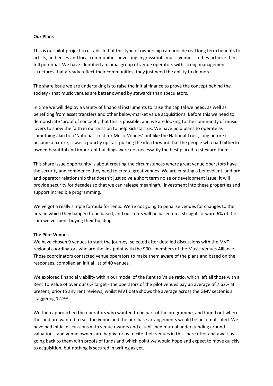## **Our Plans**

This is our pilot project to establish that this type of ownership can provide real long term benefits to artists, audiences and local communities, investing in grassroots music venues so they achieve their full potential. We have identified an initial group of venue operators with strong management structures that already reflect their communities, they just need the ability to do more.

The share issue we are undertaking is to raise the initial finance to prove the concept behind the society - that music venues are better owned by stewards than speculators.

In time we will deploy a variety of financial instruments to raise the capital we need, as well as benefiting from asset transfers and other below-market value acquisitions. Before this we need to demonstrate 'proof of concept'; that this is possible, and we are looking to the community of music lovers to show the faith in our mission to help kickstart us. We have bold plans to operate as something akin to a 'National Trust for Music Venues' but like the National Trust, long before it became a fixture, it was a punchy upstart putting the idea forward that the people who had hitherto owned beautiful and important buildings were not necessarily the best placed to steward them.

This share issue opportunity is about creating the circumstances where great venue operators have the security and confidence they need to create great venues. We are creating a benevolent landlord and operator relationship that doesn't just solve a short term noise or development issue; it will provide security for decades so that we can release meaningful investment into these properties and support incredible programming.

We've got a really simple formula for rents. We're not going to penalise venues for changes to the area in which they happen to be based, and our rents will be based on a straight-forward 6% of the sum we've spent buying their building.

#### **The Pilot Venues**

We have chosen 9 venues to start the journey, selected after detailed discussions with the MVT regional coordinators who are the link point with the 900+ members of the Music Venues Alliance. Those coordinators contacted venue operators to make them aware of the plans and based on the responses, compiled an initial list of 40 venues.

We explored financial viability within our model of the Rent to Value ratio, which left all those with a Rent To Value of over our 6% target - the operators of the pilot venues pay an average of 7.62% at present, prior to any rent reviews, whilst MVT data shows the average across the GMV sector is a staggering 12.9%.

We then approached the operators who wanted to be part of the programme, and found out where the landlord wanted to sell the venue and the purchase arrangements would be uncomplicated. We have had initial discussions with venue owners and established mutual understanding around valuations, and venue owners are happy for us to cite their venues in this share offer and await us going back to them with proofs of funds and which point we would hope and expect to move quickly to acquisition, but nothing is secured in writing as yet.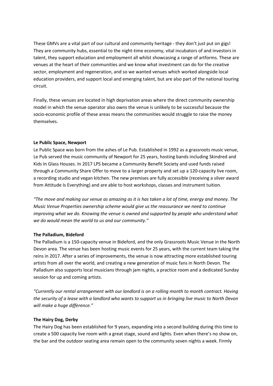These GMVs are a vital part of our cultural and community heritage - they don't just put on gigs! They are community hubs, essential to the night-time economy, vital incubators of and investors in talent, they support education and employment all whilst showcasing a range of artforms. These are venues at the heart of their communities and we know what investment can do for the creative sector, employment and regeneration, and so we wanted venues which worked alongside local education providers, and support local and emerging talent, but are also part of the national touring circuit.

Finally, these venues are located in high deprivation areas where the direct community ownership model in which the venue operator also owns the venue is unlikely to be successful because the socio-economic profile of these areas means the communities would struggle to raise the money themselves.

# **Le Public Space, Newport**

Le Public Space was born from the ashes of Le Pub. Established in 1992 as a grassroots music venue, Le Pub served the music community of Newport for 25 years, hosting bands including Skindred and Kids In Glass Houses. In 2017 LPS became a Community Benefit Society and used funds raised through a Community Share Offer to move to a larger property and set up a 120-capacity live room, a recording studio and vegan kitchen. The new premises are fully accessible (receiving a silver award from Attitude Is Everything) and are able to host workshops, classes and instrument tuition.

*"The move and making our venue as amazing as it is has taken a lot of time, energy and money. The Music Venue Properties ownership scheme would give us the reassurance we need to continue improving what we do. Knowing the venue is owned and supported by people who understand what we do would mean the world to us and our community."*

## **The Palladium, Bideford**

The Palladium is a 150-capacity venue in Bideford, and the only Grassroots Music Venue in the North Devon area. The venue has been hosting music events for 25 years, with the current team taking the reins in 2017. After a series of improvements, the venue is now attracting more established touring artists from all over the world, and creating a new generation of music fans in North Devon. The Palladium also supports local musicians through jam nights, a practice room and a dedicated Sunday session for up and coming artists.

*"Currently our rental arrangement with our landlord is on a rolling month to month contract. Having the security of a lease with a landlord who wants to support us in bringing live music to North Devon will make a huge difference."*

## **The Hairy Dog, Derby**

The Hairy Dog has been established for 9 years, expanding into a second building during this time to create a 500 capacity live room with a great stage, sound and lights. Even when there's no show on, the bar and the outdoor seating area remain open to the community seven nights a week. Firmly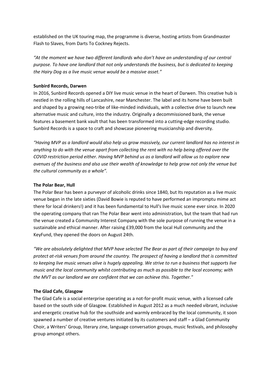established on the UK touring map, the programme is diverse, hosting artists from Grandmaster Flash to Slaves, from Darts To Cockney Rejects.

*"At the moment we have two different landlords who don't have an understanding of our central purpose. To have one landlord that not only understands the business, but is dedicated to keeping the Hairy Dog as a live music venue would be a massive asset."*

## **Sunbird Records, Darwen**

In 2016, Sunbird Records opened a DIY live music venue in the heart of Darwen. This creative hub is nestled in the rolling hills of Lancashire, near Manchester. The label and its home have been built and shaped by a growing neo-tribe of like-minded individuals, with a collective drive to launch new alternative music and culture, into the industry. Originally a decommissioned bank, the venue features a basement bank vault that has been transformed into a cutting-edge recording studio. Sunbird Records is a space to craft and showcase pioneering musicianship and diversity.

*"Having MVP as a landlord would also help us grow massively, our current landlord has no interest in anything to do with the venue apart from collecting the rent with no help being offered over the COVID restriction period either. Having MVP behind us as a landlord will allow us to explore new avenues of the business and also use their wealth of knowledge to help grow not only the venue but the cultural community as a whole".*

## **The Polar Bear, Hull**

The Polar Bear has been a purveyor of alcoholic drinks since 1840, but Its reputation as a live music venue began in the late sixties (David Bowie is reputed to have performed an impromptu mime act there for local drinkers!) and it has been fundamental to Hull's live music scene ever since. In 2020 the operating company that ran The Polar Bear went into administration, but the team that had run the venue created a Community Interest Company with the sole purpose of running the venue in a sustainable and ethical manner. After raising £39,000 from the local Hull community and the KeyFund, they opened the doors on August 24th.

*"We are absolutely delighted that MVP have selected The Bear as part of their campaign to buy and protect at-risk venues from around the country. The prospect of having a landlord that is committed to keeping live music venues alive is hugely appealing. We strive to run a business that supports live music and the local community whilst contributing as much as possible to the local economy; with the MVT as our landlord we are confident that we can achieve this. Together."*

## **The Glad Cafe, Glasgow**

The Glad Cafe is a social enterprise operating as a not-for-profit music venue, with a licensed cafe based on the south side of Glasgow. Established in August 2012 as a much needed vibrant, inclusive and energetic creative hub for the southside and warmly embraced by the local community, it soon spawned a number of creative ventures initiated by its customers and staff – a Glad Community Choir, a Writers' Group, literary zine, language conversation groups, music festivals, and philosophy group amongst others.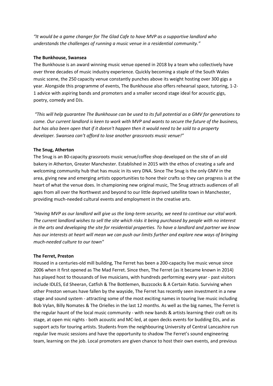*"It would be a game changer for The Glad Cafe to have MVP as a supportive landlord who understands the challenges of running a music venue in a residential community."*

## **The Bunkhouse, Swansea**

The Bunkhouse is an award winning music venue opened in 2018 by a team who collectively have over three decades of music industry experience. Quickly becoming a staple of the South Wales music scene, the 250 capacity venue constantly punches above its weight hosting over 300 gigs a year. Alongside this programme of events, The Bunkhouse also offers rehearsal space, tutoring, 1-2- 1 advice with aspiring bands and promoters and a smaller second stage ideal for acoustic gigs, poetry, comedy and DJs.

*"This will help guarantee The Bunkhouse can be used to its full potential as a GMV for generations to come. Our current landlord is keen to work with MVP and wants to secure the future of the business, but has also been open that if it doesn't happen then it would need to be sold to a property developer. Swansea can't afford to lose another grassroots music venue!"*

## **The Snug, Atherton**

The Snug is an 80-capacity grassroots music venue/coffee shop developed on the site of an old bakery in Atherton, Greater Manchester. Established in 2015 with the ethos of creating a safe and welcoming community hub that has music in its very DNA. Since The Snug is the only GMV in the area, giving new and emerging artists opportunities to hone their crafts so they can progress is at the heart of what the venue does. In championing new original music, The Snug attracts audiences of all ages from all over the Northwest and beyond to our little deprived satellite town in Manchester, providing much-needed cultural events and employment in the creative arts.

*"Having MVP as our landlord will give us the long-term security, we need to continue our vital work. The current landlord wishes to sell the site which risks it being purchased by people with no interest in the arts and developing the site for residential properties. To have a landlord and partner we know has our interests at heart will mean we can push our limits further and explore new ways of bringing much-needed culture to our town"*

## **The Ferret, Preston**

Housed in a centuries-old mill building, The Ferret has been a 200-capacity live music venue since 2006 when it first opened as The Mad Ferret. Since then, The Ferret (as it became known in 2014) has played host to thousands of live musicians, with hundreds performing every year - past visitors include IDLES, Ed Sheeran, Catfish & The Bottlemen, Buzzcocks & A Certain Ratio. Surviving when other Preston venues have fallen by the wayside, The Ferret has recently seen investment in a new stage and sound system - attracting some of the most exciting names in touring live music including Bob Vylan, Billy Nomates & The Orielles in the last 12 months. As well as the big names, The Ferret is the regular haunt of the local music community - with new bands & artists learning their craft on its stage, at open mic nights - both acoustic and MC-led, at open decks events for budding DJs, and as support acts for touring artists. Students from the neighbouring University of Central Lancashire run regular live music sessions and have the opportunity to shadow The Ferret's sound engineering team, learning on the job. Local promoters are given chance to host their own events, and previous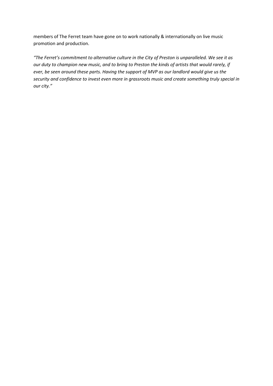members of The Ferret team have gone on to work nationally & internationally on live music promotion and production.

*"The Ferret's commitment to alternative culture in the City of Preston is unparalleled. We see it as our duty to champion new music, and to bring to Preston the kinds of artists that would rarely, if ever, be seen around these parts. Having the support of MVP as our landlord would give us the security and confidence to invest even more in grassroots music and create something truly special in our city."*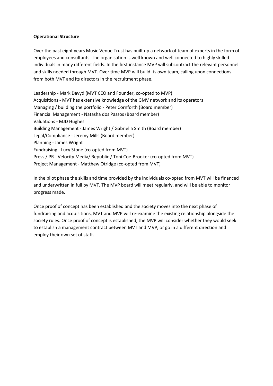# **Operational Structure**

Over the past eight years Music Venue Trust has built up a network of team of experts in the form of employees and consultants. The organisation is well known and well connected to highly skilled individuals in many different fields. In the first instance MVP will subcontract the relevant personnel and skills needed through MVT. Over time MVP will build its own team, calling upon connections from both MVT and its directors in the recruitment phase.

Leadership - Mark Davyd (MVT CEO and Founder, co-opted to MVP) Acquisitions - MVT has extensive knowledge of the GMV network and its operators Managing / building the portfolio - Peter Cornforth (Board member) Financial Management - Natasha dos Passos (Board member) Valuations - MJD Hughes Building Management - James Wright / Gabriella Smith (Board member) Legal/Compliance - Jeremy Mills (Board member) Planning - James Wright Fundraising - Lucy Stone (co-opted from MVT) Press / PR - Velocity Media/ Republic / Toni Coe-Brooker (co-opted from MVT) Project Management - Matthew Otridge (co-opted from MVT)

In the pilot phase the skills and time provided by the individuals co-opted from MVT will be financed and underwritten in full by MVT. The MVP board will meet regularly, and will be able to monitor progress made.

Once proof of concept has been established and the society moves into the next phase of fundraising and acquisitions, MVT and MVP will re-examine the existing relationship alongside the society rules. Once proof of concept is established, the MVP will consider whether they would seek to establish a management contract between MVT and MVP, or go in a different direction and employ their own set of staff.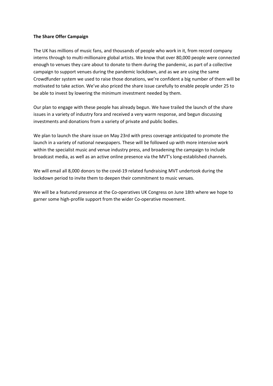## **The Share Offer Campaign**

The UK has millions of music fans, and thousands of people who work in it, from record company interns through to multi-millionaire global artists. We know that over 80,000 people were connected enough to venues they care about to donate to them during the pandemic, as part of a collective campaign to support venues during the pandemic lockdown, and as we are using the same Crowdfunder system we used to raise those donations, we're confident a big number of them will be motivated to take action. We've also priced the share issue carefully to enable people under 25 to be able to invest by lowering the minimum investment needed by them.

Our plan to engage with these people has already begun. We have trailed the launch of the share issues in a variety of industry fora and received a very warm response, and begun discussing investments and donations from a variety of private and public bodies.

We plan to launch the share issue on May 23rd with press coverage anticipated to promote the launch in a variety of national newspapers. These will be followed up with more intensive work within the specialist music and venue industry press, and broadening the campaign to include broadcast media, as well as an active online presence via the MVT's long-established channels.

We will email all 8,000 donors to the covid-19 related fundraising MVT undertook during the lockdown period to invite them to deepen their commitment to music venues.

We will be a featured presence at the Co-operatives UK Congress on June 18th where we hope to garner some high-profile support from the wider Co-operative movement.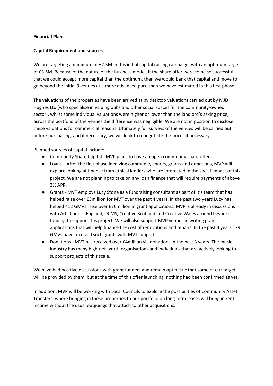## **Financial Plans**

## **Capital Requirement and sources**

We are targeting a minimum of £2.5M in this initial capital raising campaign, with an optimum target of £3.5M. Because of the nature of the business model, if the share offer were to be so successful that we could accept more capital than the optimum, then we would bank that capital and move to go beyond the initial 9 venues at a more advanced pace than we have estimated in this first phase.

The valuations of the properties have been arrived at by desktop valuations carried out by MJD Hughes Ltd (who specialise in valuing pubs and other social spaces for the community-owned sector), whilst some individual valuations were higher or lower than the landlord's asking price, across the portfolio of the venues the difference was negligible. We are not in position to disclose these valuations for commercial reasons. Ultimately full surveys of the venues will be carried out before purchasing, and if necessary, we will look to renegotiate the prices if necessary.

Planned sources of capital include:

- Community Share Capital MVP plans to have an open community share offer.
- Loans After the first phase involving community shares, grants and donations, MVP will explore looking at finance from ethical lenders who are interested in the social impact of this project. We are not planning to take on any loan finance that will require payments of above 3% APR.
- Grants MVT employs Lucy Stone as a fundraising consultant as part of it's team that has helped raise over £3million for MVT over the past 4 years. In the past two years Lucy has helped 412 GMVs raise over £70million in grant applications. MVP is already in discussions with Arts Council England, DCMS, Creative Scotland and Creative Wales around bespoke funding to support this project. We will also support MVP venues in writing grant applications that will help finance the cost of renovations and repairs. In the past 4 years 179 GMVs have received such grants with MVT support.
- Donations MVT has received over £4million via donations in the past 3 years. The music industry has many high-net-worth organisations and individuals that are actively looking to support projects of this scale.

We have had positive discussions with grant funders and remain optimistic that some of our target will be provided by them, but at the time of this offer launching, nothing had been confirmed as yet.

In addition, MVP will be working with Local Councils to explore the possibilities of Community Asset Transfers, where bringing in these properties to our portfolio on long term leases will bring in rent income without the usual outgoings that attach to other acquisitions.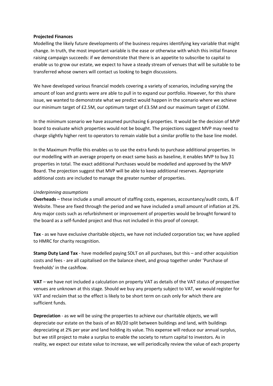#### **Projected Finances**

Modelling the likely future developments of the business requires identifying key variable that might change. In truth, the most important variable is the ease or otherwise with which this initial finance raising campaign succeeds: if we demonstrate that there is an appetite to subscribe to capital to enable us to grow our estate, we expect to have a steady stream of venues that will be suitable to be transferred whose owners will contact us looking to begin discussions.

We have developed various financial models covering a variety of scenarios, including varying the amount of loan and grants were are able to pull in to expand our portfolio. However, for this share issue, we wanted to demonstrate what we predict would happen in the scenario where we achieve our minimum target of £2.5M, our optimum target of £3.5M and our maximum target of £10M.

In the minimum scenario we have assumed purchasing 6 properties. It would be the decision of MVP board to evaluate which properties would not be bought. The projections suggest MVP may need to charge slightly higher rent to operators to remain viable but a similar profile to the base line model.

In the Maximum Profile this enables us to use the extra funds to purchase additional properties. In our modelling with an average property on exact same basis as baseline, it enables MVP to buy 31 properties in total. The exact additional Purchases would be modelled and approved by the MVP Board. The projection suggest that MVP will be able to keep additional reserves. Appropriate additional costs are included to manage the greater number of properties.

#### *Underpinning assumptions*

**Overheads** – these include a small amount of staffing costs, expenses, accountancy/audit costs, & IT Website. These are fixed through the period and we have included a small amount of inflation at 2%. Any major costs such as refurbishment or improvement of properties would be brought forward to the board as a self-funded project and thus not included in this proof of concept.

**Tax** - as we have exclusive charitable objects, we have not included corporation tax; we have applied to HMRC for charity recognition.

**Stamp Duty Land Tax** - have modelled paying SDLT on all purchases, but this – and other acquisition costs and fees - are all capitalised on the balance sheet, and group together under 'Purchase of freeholds' in the cashflow.

**VAT** – we have not included a calculation on property VAT as details of the VAT status of prospective venues are unknown at this stage. Should we buy any property subject to VAT, we would register for VAT and reclaim that so the effect is likely to be short term on cash only for which there are sufficient funds.

**Depreciation** - as we will be using the properties to achieve our charitable objects, we will depreciate our estate on the basis of an 80/20 split between buildings and land, with buildings depreciating at 2% per year and land holding its value. This expense will reduce our annual surplus, but we still project to make a surplus to enable the society to return capital to investors. As in reality, we expect our estate value to increase, we will periodically review the value of each property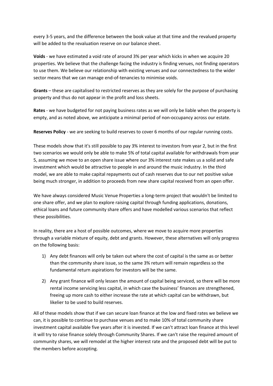every 3-5 years, and the difference between the book value at that time and the revalued property will be added to the revaluation reserve on our balance sheet.

**Voids** - we have estimated a void rate of around 3% per year which kicks in when we acquire 20 properties. We believe that the challenge facing the industry is finding venues, not finding operators to use them. We believe our relationship with existing venues and our connectedness to the wider sector means that we can manage end-of-tenancies to minimise voids.

**Grants** – these are capitalised to restricted reserves as they are solely for the purpose of purchasing property and thus do not appear in the profit and loss sheets.

**Rates** - we have budgeted for not paying business rates as we will only be liable when the property is empty, and as noted above, we anticipate a minimal period of non-occupancy across our estate.

**Reserves Policy** - we are seeking to build reserves to cover 6 months of our regular running costs.

These models show that it's still possible to pay 3% interest to investors from year 2, but in the first two scenarios we would only be able to make 5% of total capital available for withdrawals from year 5, assuming we move to an open share issue where our 3% interest rate makes us a solid and safe investment which would be attractive to people in and around the music industry. In the third model, we are able to make capital repayments out of cash reserves due to our net positive value being much stronger, in addition to proceeds from new share capital received from an open offer.

We have always considered Music Venue Properties a long-term project that wouldn't be limited to one share offer, and we plan to explore raising capital through funding applications, donations, ethical loans and future community share offers and have modelled various scenarios that reflect these possibilities.

In reality, there are a host of possible outcomes, where we move to acquire more properties through a variable mixture of equity, debt and grants. However, these alternatives will only progress on the following basis:

- 1) Any debt finances will only be taken out where the cost of capital is the same as or better than the community share issue, so the same 3% return will remain regardless so the fundamental return aspirations for investors will be the same.
- 2) Any grant finance will only lessen the amount of capital being serviced, so there will be more rental income servicing less capital, in which case the business' finances are strengthened, freeing up more cash to either increase the rate at which capital can be withdrawn, but likelier to be used to build reserves.

All of these models show that if we can secure loan finance at the low and fixed rates we believe we can, it is possible to continue to purchase venues and to make 10% of total community share investment capital available five years after it is invested. If we can't attract loan finance at this level it will try to raise finance solely through Community Shares. If we can't raise the required amount of community shares, we will remodel at the higher interest rate and the proposed debt will be put to the members before accepting.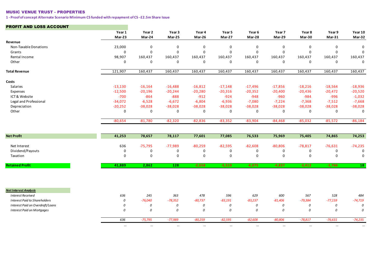#### MUSIC VENUE TRUST - PROPERTIES

**1 - Proof of concept Alternate Scenario Minimum CS funded with repayment of CS - £2.5m Share Issue**

#### PROFIT AND LOSS ACCOUNT

|                                      | Year 1<br>Mar-23 | Year 2<br>Mar-24 | Year 3<br>Mar-25 | Year 4<br>Mar-26 | Year 5<br>Mar-27 | Year 6<br>Mar-28 | Year 7<br>Mar-29 | Year 8<br>Mar-30 | Year 9<br>$Mar-31$ | Year 10<br>Mar-32 |
|--------------------------------------|------------------|------------------|------------------|------------------|------------------|------------------|------------------|------------------|--------------------|-------------------|
| Revenue                              |                  |                  |                  |                  |                  |                  |                  |                  |                    |                   |
| Non-Taxable Donations                | 23,000           | $\mathbf 0$      | $\mathbf 0$      | $\mathbf 0$      | $\mathbf 0$      | $\mathbf 0$      | $\mathbf 0$      | $\mathbf 0$      | $\Omega$           | $\mathbf 0$       |
| Grants                               | $\Omega$         | $\mathbf 0$      | $\Omega$         | $\mathbf 0$      | $\Omega$         | $\mathbf 0$      | $\mathbf 0$      | $\mathbf 0$      | $\Omega$           | $\Omega$          |
| Rental Income                        | 98,907           | 160,437          | 160,437          | 160,437          | 160,437          | 160,437          | 160,437          | 160,437          | 160,437            | 160,437           |
| Other                                | 0                | $\pmb{0}$        | $\mathbf 0$      | 0                | $\mathbf 0$      | $\mathbf 0$      | $\mathsf{O}$     | 0                | $\mathbf 0$        | $\mathbf 0$       |
| <b>Total Revenue</b>                 | 121,907          | 160,437          | 160,437          | 160,437          | 160,437          | 160,437          | 160,437          | 160,437          | 160,437            | 160,437           |
| Costs                                |                  |                  |                  |                  |                  |                  |                  |                  |                    |                   |
| Salaries                             | $-13,130$        | $-16,164$        | $-16,488$        | $-16,812$        | $-17,148$        | $-17,496$        | $-17,856$        | $-18,216$        | $-18,564$          | $-18,936$         |
| Expenses                             | $-12,500$        | $-20,196$        | $-20,244$        | $-20,280$        | $-20,316$        | $-20,352$        | $-20,400$        | $-20,436$        | $-20,472$          | $-20,520$         |
| ICT& Website                         | $-700$           | $-864$           | $-888$           | $-912$           | $-924$           | $-948$           | $-960$           | $-984$           | $-996$             | $-1,032$          |
| Legal and Professional               | $-34,072$        | $-6,528$         | $-6,672$         | $-6,804$         | $-6,936$         | $-7,080$         | $-7,224$         | $-7,368$         | $-7,512$           | $-7,668$          |
| Depreciation                         | $-20,252$        | $-38,028$        | $-38,028$        | $-38,028$        | $-38,028$        | $-38,028$        | $-38,028$        | $-38,028$        | $-38,028$          | $-38,028$         |
| Other                                | 0                | $\mathbf 0$      | 0                | 0                | $\mathbf 0$      | 0                | 0                | 0                | $\mathbf 0$        | $\mathbf 0$       |
|                                      | $-80,654$        | $-81,780$        | $-82,320$        | $-82,836$        | $-83,352$        | $-83,904$        | $-84,468$        | $-85,032$        | $-85,572$          | $-86,184$         |
| <b>Net Profit</b>                    | 41,253           | 78,657           | 78,117           | 77,601           | 77,085           | 76,533           | 75,969           | 75,405           | 74,865             | 74,253            |
|                                      |                  |                  |                  |                  |                  |                  |                  |                  |                    |                   |
| Net Interest                         | 636              | $-75,795$        | $-77,989$        | $-80,259$        | $-82,595$        | $-82,608$        | $-80,806$        | $-78,817$        | $-76,631$          | $-74,235$         |
| Dividend/Payouts                     | $\mathbf 0$      | 0                | $\mathbf 0$      | 0                | 0                | 0                | 0                | 0                | 0                  | 0                 |
| Taxation                             | $\mathbf 0$      | $\mathbf 0$      | $\mathsf 0$      | $\mathsf 0$      | $\mathbf 0$      | $\pmb{0}$        | $\mathsf 0$      | $\mathsf 0$      | $\mathbf 0$        | $\mathsf 0$       |
| <b>Retained Profit</b>               | 41,889           | 2,862            | $\overline{128}$ | $-2,658$         | $-5,510$         | $-6,075$         | $-4,837$         | $-3,412$         | $-1,766$           | 18                |
|                                      |                  |                  |                  |                  |                  |                  |                  |                  |                    |                   |
| <b>Net Interest Analysis</b>         |                  |                  |                  |                  |                  |                  |                  |                  |                    |                   |
| <b>Interest Received</b>             | 636              | 245              | 363              | 478              | 596              | 629              | 600              | 567              | 528                | 484               |
| <b>Interest Paid to Shareholders</b> | 0                | $-76,040$        | $-78,352$        | $-80,737$        | $-83,191$        | $-83,237$        | $-81,406$        | $-79,384$        | $-77,159$          | $-74,719$         |
| Interest Paid on Overdraft/Loans     | 0                | 0                | 0                | 0                | 0                | 0                | 0                | 0                | 0                  | 0                 |
| <b>Interest Paid on Mortgages</b>    | 0                | 0                | 0                | 0                | 0                | 0                | 0                | 0                | 0                  | $\cal O$          |
|                                      | 636              | $-75,795$        | $-77,989$        | $-80,259$        | $-82,595$        | $-82,608$        | $-80,806$        | $-78,817$        | $-76,631$          | $-74,235$         |
|                                      | $\cdots$         | $\cdots$         | $\cdots$         | $\cdots$         | $\cdots$         | $\cdots$         | $\cdots$         | $\cdots$         | $\cdots$           | $\cdots$          |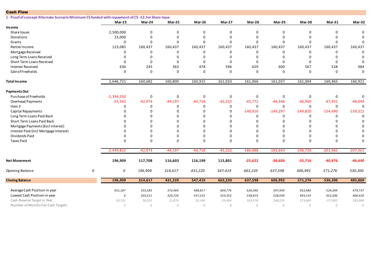| <b>Cash Flow</b>                                                                                   |   |              |            |             |             |            |              |            |             |            |             |
|----------------------------------------------------------------------------------------------------|---|--------------|------------|-------------|-------------|------------|--------------|------------|-------------|------------|-------------|
| 1 - Proof of concept Alternate Scenario Minimum CS funded with repayment of CS - £2.5m Share Issue |   |              |            |             |             |            |              |            |             |            |             |
|                                                                                                    |   | $Mar-23$     | Mar-24     | Mar-25      | Mar-26      | Mar-27     | Mar-28       | Mar-29     | Mar-30      | Mar-31     | Mar-32      |
| Income                                                                                             |   |              |            |             |             |            |              |            |             |            |             |
| Share Issues                                                                                       |   | 2,500,000    | 0          | $\mathbf 0$ | $\Omega$    | 0          | $\mathbf 0$  | $\Omega$   | $\mathbf 0$ | $\Omega$   | 0           |
| Donations                                                                                          |   | 23,000       | $\Omega$   | $\mathbf 0$ | $\Omega$    | 0          | $\Omega$     | $\Omega$   | $\Omega$    |            | $\Omega$    |
| Grants                                                                                             |   | $\Omega$     | 0          | $\mathbf 0$ | $\Omega$    | 0          | $\Omega$     | $\Omega$   | $\Omega$    | $\Omega$   |             |
| Rental Income                                                                                      |   | 123,085      | 160,437    | 160,437     | 160,437     | 160,437    | 160,437      | 160,437    | 160,437     | 160,437    | 160,437     |
| Mortgage Received                                                                                  |   | $\Omega$     | 0          | 0           | $\mathbf 0$ | $\Omega$   | 0            | 0          | $\Omega$    | 0          | $\Omega$    |
| Long Term Loans Received                                                                           |   | $\Omega$     | 0          | $\mathbf 0$ | $\Omega$    | $\Omega$   | $\Omega$     | $\Omega$   | $\Omega$    | $\Omega$   | $\Omega$    |
| Short Term Loans Received                                                                          |   | $\Omega$     | $\Omega$   | $\mathbf 0$ | $\Omega$    | 0          | $\mathbf 0$  | $\Omega$   | $\Omega$    | $\Omega$   | $\Omega$    |
| <b>Interest Received</b>                                                                           |   | 636          | 245        | 363         | 478         | 596        | 629          | 600        | 567         | 528        | 484         |
| Sale of Freeholds                                                                                  |   | $\Omega$     | $\Omega$   | $\mathbf 0$ | $\Omega$    | 0          | $\Omega$     | $\Omega$   | $\Omega$    | $\Omega$   | $\Omega$    |
| <b>Total Income</b>                                                                                |   | 2,646,721    | 160,682    | 160,800     | 160,915     | 161,033    | 161,066      | 161,037    | 161,004     | 160,965    | 160,921     |
| <b>Payments Out</b>                                                                                |   |              |            |             |             |            |              |            |             |            |             |
| Purchase of Freeholds                                                                              |   | $-2,394,250$ | 0          | $\pmb{0}$   | $\mathbf 0$ | 0          | $\mathsf 0$  | 0          | $\mathbf 0$ | 0          | 0           |
| Overhead Payments                                                                                  |   | $-55,562$    | $-42,974$  | $-44,197$   | $-44,716$   | $-45,232$  | $-45,772$    | $-46,346$  | $-46,900$   | $-47,451$  | $-48,049$   |
| Item 3                                                                                             |   | $\Omega$     | 0          | 0           | 0           | 0          | $\mathbf 0$  | 0          | $\mathbf 0$ | 0          | 0           |
| Capital Repayments                                                                                 |   | $\Omega$     | 0          | $\mathbf 0$ | $\Omega$    | 0          | $-140,916$   | $-145,297$ | $-149,820$  | $-154,490$ | $-159,312$  |
| Long Term Loans Paid Back                                                                          |   |              | 0          | 0           | $\Omega$    | $\Omega$   | 0            | 0          | 0           | 0          | $\Omega$    |
| Short Term Loans Paid Back                                                                         |   | $\Omega$     | 0          | $\mathbf 0$ | $\Omega$    | 0          | $\Omega$     | 0          | $\mathbf 0$ | $\Omega$   | $\Omega$    |
| Mortgage Payments (Excl Interest)                                                                  |   |              | $\Omega$   | $\mathbf 0$ | $\Omega$    | $\Omega$   | $\Omega$     | $\Omega$   | $\Omega$    | $\Omega$   | $\Omega$    |
| Interest Paid (incl Mortgage Interest)                                                             |   |              | $\Omega$   | $\mathbf 0$ | $\Omega$    | $\Omega$   | O            | $\Omega$   | $\Omega$    | $\Omega$   | $\mathbf 0$ |
| Dividends Paid                                                                                     |   |              | $\Omega$   | $\mathbf 0$ | $\mathbf 0$ | $\Omega$   | $\Omega$     | $\Omega$   | $\Omega$    |            | 0           |
| <b>Taxes Paid</b>                                                                                  |   | $\Omega$     | $\Omega$   | $\Omega$    | $\Omega$    | $\Omega$   | $\Omega$     | $\Omega$   | $\Omega$    | $\Omega$   | $\Omega$    |
|                                                                                                    |   | $-2,449,812$ | $-42,974$  | $-44,197$   | $-44,716$   | $-45,232$  | $-186,688$   | $-191,643$ | $-196,720$  | $-201,941$ | $-207,361$  |
| <b>Net Movement</b>                                                                                |   | 196,909      | 117,708    | 116,603     | 116,199     | 115,801    | $-25,622$    | $-30,606$  | $-35,716$   | $-40,976$  | $-46,440$   |
| Opening Balance                                                                                    | 0 | 0            | 196,909    | 314,617     | 431,220     | 547,419    | 663,220      | 637,598    | 606,992     | 571,276    | 530,300     |
| <b>Closing Balance</b>                                                                             |   | 196,909      | 314,617    | 431,220     | 547,419     | 663,220    | 637,598      | 606,992    | 571,276     | 530,300    | 483,860     |
| Average Cash Position in year                                                                      |   | 651,187      | 255,583    | 372,464     | 488,817     | 604,776    | 626,346      | 597,449    | 563,480     | 524,304    | 479,737     |
| Lowest Cash Position in year                                                                       |   | 0            | 203,511    | 320,720     | 437,233     | 553,355    | 558,819      | 528,549    | 493,154     | 452,506    | 406,420     |
| Cash Reserve Target in Year                                                                        |   | 10,722       | 30,201     | 21,876      | 22,146      | 22,404     | 163,578      | 168,235    | 173,040     | 177,992    | 183,084     |
| Number of Months Fail Cash Targets                                                                 |   | 0            | ${\cal O}$ | ${\cal O}$  | 0           | ${\cal O}$ | $\mathcal O$ | 0          | ${\cal O}$  | 0          | ${\cal O}$  |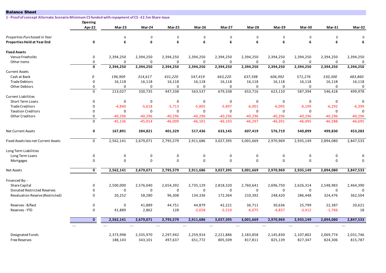| <b>Balance Sheet</b>                                                                               |                         |             |             |             |             |             |             |             |             |             |             |
|----------------------------------------------------------------------------------------------------|-------------------------|-------------|-------------|-------------|-------------|-------------|-------------|-------------|-------------|-------------|-------------|
| 1 - Proof of concept Alternate Scenario Minimum CS funded with repayment of CS - £2.5m Share Issue |                         |             |             |             |             |             |             |             |             |             |             |
|                                                                                                    | Opening                 |             |             |             |             |             |             |             |             |             |             |
|                                                                                                    | Apr-22                  | Mar-23      | Mar-24      | Mar-25      | Mar-26      | Mar-27      | Mar-28      | Mar-29      | Mar-30      | $Mar-31$    | Mar-32      |
| Properties Purchased in Year                                                                       |                         | 6           | $\mathbf 0$ | $\mathbf 0$ | $\mathbf 0$ | $\mathbf 0$ | 0           | $\mathbf 0$ | 0           | $\Omega$    | $\Omega$    |
| <b>Properties Held at Year End</b>                                                                 | 0                       | 6           | 6           | 6           | 6           | 6           | 6           | 6           | 6           | 6           | 6           |
| <b>Fixed Assets</b>                                                                                |                         |             |             |             |             |             |             |             |             |             |             |
| Venue Freeholds                                                                                    | 0                       | 2,394,250   | 2,394,250   | 2,394,250   | 2,394,250   | 2,394,250   | 2,394,250   | 2,394,250   | 2,394,250   | 2,394,250   | 2,394,250   |
| Other items                                                                                        | 0                       | 0           | 0           | 0           | 0           | $\mathbf 0$ | $\mathbf 0$ | 0           | $\mathbf 0$ | $\mathbf 0$ | 0           |
|                                                                                                    | $\mathbf 0$             | 2,394,250   | 2,394,250   | 2,394,250   | 2,394,250   | 2,394,250   | 2,394,250   | 2,394,250   | 2,394,250   | 2,394,250   | 2,394,250   |
| <b>Current Assets</b>                                                                              |                         |             |             |             |             |             |             |             |             |             |             |
| Cash at Bank                                                                                       | 0                       | 196,909     | 314,617     | 431,220     | 547,419     | 663,220     | 637,598     | 606,992     | 571,276     | 530,300     | 483,860     |
| <b>Trade Debtors</b>                                                                               | 0                       | 16,118      | 16,118      | 16,118      | 16,118      | 16,118      | 16,118      | 16,118      | 16,118      | 16,118      | 16,118      |
| <b>Other Debtors</b>                                                                               | 0                       | 0           | 0           | 0           | 0           | $\mathbf 0$ | 0           | 0           | 0           | $\mathbf 0$ | 0           |
|                                                                                                    | $\mathbf 0$             | 213,027     | 330,735     | 447,338     | 563,537     | 679,338     | 653,716     | 623,110     | 587,394     | 546,418     | 499,978     |
| <b>Current Liabilities</b>                                                                         |                         |             |             |             |             |             |             |             |             |             |             |
| <b>Short Term Loans</b>                                                                            | 0                       | 0           | 0           | $\mathbf 0$ | $\mathbf 0$ | $\mathbf 0$ | 0           | $\mathbf 0$ | $\mathbf 0$ | $\mathbf 0$ | $\mathbf 0$ |
| <b>Trade Creditors</b>                                                                             | $\Omega$                | $-4,840$    | $-5,618$    | $-5,713$    | $-5,805$    | $-5,897$    | $-6,001$    | $-6,095$    | $-6,199$    | $-6,292$    | $-6,399$    |
| <b>Taxation Creditors</b>                                                                          | $\Omega$                | 0           | 0           | 0           | 0           | 0           | 0           | 0           | 0           | $\mathbf 0$ | $\mathbf 0$ |
| <b>Other Creditors</b>                                                                             | 0                       | $-40,296$   | $-40,296$   | $-40,296$   | $-40,296$   | $-40,296$   | $-40,296$   | $-40,296$   | $-40,296$   | $-40,296$   | $-40,296$   |
|                                                                                                    | 0                       | $-45,136$   | $-45,914$   | $-46,009$   | $-46,101$   | $-46, 193$  | $-46,297$   | $-46,391$   | $-46,495$   | $-46,588$   | $-46,695$   |
| <b>Net Current Assets</b>                                                                          | $\mathbf 0$             | 167,891     | 284,821     | 401,329     | 517,436     | 633,145     | 607,419     | 576,719     | 540,899     | 499,830     | 453,283     |
| Fixed Assets less net Current Assets                                                               | $\mathsf{O}$            | 2,562,141   | 2,679,071   | 2,795,579   | 2,911,686   | 3,027,395   | 3,001,669   | 2,970,969   | 2,935,149   | 2,894,080   | 2,847,533   |
| Long Term Liabilities                                                                              |                         |             |             |             |             |             |             |             |             |             |             |
| Long Term Loans                                                                                    | 0                       | $\mathbf 0$ | 0           | $\mathbf 0$ | $\mathbf 0$ | $\mathbf 0$ | $\mathbf 0$ | $\mathsf 0$ | $\mathbf 0$ | $\mathbf 0$ | $\Omega$    |
| Mortgages                                                                                          | 0                       | $\Omega$    | 0           | $\mathbf 0$ | $\Omega$    | $\Omega$    | $\mathbf 0$ | $\mathbf 0$ | $\mathbf 0$ | $\mathbf 0$ | $\mathbf 0$ |
| <b>Net Assets</b>                                                                                  | $\overline{\mathbf{0}}$ | 2,562,141   | 2,679,071   | 2,795,579   | 2,911,686   | 3,027,395   | 3,001,669   | 2,970,969   | 2,935,149   | 2,894,080   | 2,847,533   |
| Financed By: -                                                                                     |                         |             |             |             |             |             |             |             |             |             |             |
| <b>Share Capital</b>                                                                               | 0                       | 2,500,000   | 2,576,040   | 2,654,392   | 2,735,129   | 2,818,320   | 2,760,641   | 2,696,750   | 2,626,314   | 2,548,983   | 2,464,390   |
| Donated Restricted Reserves                                                                        | 0                       | 0           | $\mathbf 0$ | $\mathbf 0$ | $\mathbf 0$ | $\mathbf 0$ | $\mathbf 0$ | $\mathbf 0$ | $\mathbf 0$ | $\mathbf 0$ | $\Omega$    |
| Revaluation Reserve (Restricted)                                                                   | 0                       | 20,252      | 58,280      | 96,308      | 134,336     | 172,364     | 210,392     | 248,420     | 286,448     | 324,476     | 362,504     |
| Reserves - B/fwd                                                                                   | 0                       | 0           | 41,889      | 44,751      | 44,879      | 42,221      | 36,711      | 30,636      | 25,799      | 22,387      | 20,621      |
| Reserves - YTD                                                                                     | 0                       | 41,889      | 2,862       | 128         | $-2,658$    | $-5,510$    | $-6,075$    | $-4,837$    | $-3,412$    | $-1,766$    | 18          |
|                                                                                                    | $\overline{\mathbf{0}}$ | 2,562,141   | 2,679,071   | 2,795,579   | 2,911,686   | 3,027,395   | 3,001,669   | 2,970,969   | 2,935,149   | 2,894,080   | 2,847,533   |
|                                                                                                    | $\cdots$                |             | $\cdots$    | $\cdots$    | $\cdots$    | $\cdots$    | $\cdots$    | $\cdots$    | $\cdots$    | $\ldots$    | $\cdots$    |
| Designated Funds                                                                                   |                         | 2,373,998   | 2,335,970   | 2,297,942   | 2,259,914   | 2,221,886   | 2,183,858   | 2,145,830   | 2,107,802   | 2,069,774   | 2,031,746   |
| <b>Free Reserves</b>                                                                               |                         | 188,143     | 343,101     | 497,637     | 651,772     | 805,509     | 817,811     | 825,139     | 827,347     | 824,306     | 815,787     |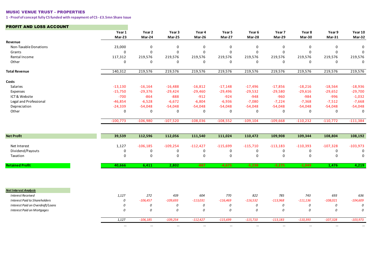#### MUSIC VENUE TRUST - PROPERTIES

**1 - Proof of concept fully CS funded with repayment of CS - £3.5mn Share Issue**

#### PROFIT AND LOSS ACCOUNT

|                                      | Year 1      | Year 2      | Year 3     | Year 4      | Year 5      | Year 6      | Year 7      | Year 8      | Year 9      | Year 10     |
|--------------------------------------|-------------|-------------|------------|-------------|-------------|-------------|-------------|-------------|-------------|-------------|
|                                      | Mar-23      | Mar-24      | Mar-25     | Mar-26      | Mar-27      | Mar-28      | Mar-29      | Mar-30      | $Mar-31$    | Mar-32      |
| Revenue<br>Non-Taxable Donations     | 23,000      | 0           | 0          | 0           | $\mathbf 0$ | 0           | $\mathbf 0$ | 0           | $\Omega$    | $\Omega$    |
| Grants                               | 0           | $\mathbf 0$ | 0          | $\mathbf 0$ | $\mathbf 0$ | $\mathbf 0$ | $\mathbf 0$ | $\mathbf 0$ | $\mathbf 0$ | $\mathbf 0$ |
| Rental Income                        | 117,312     | 219,576     | 219,576    | 219,576     | 219,576     | 219,576     | 219,576     | 219,576     | 219,576     | 219,576     |
| Other                                | 0           | 0           | 0          | 0           | $\mathbf 0$ | $\mathbf 0$ | 0           | 0           | $\mathbf 0$ | $\mathbf 0$ |
| <b>Total Revenue</b>                 | 140,312     | 219,576     | 219,576    | 219,576     | 219,576     | 219,576     | 219,576     | 219,576     | 219,576     | 219,576     |
| Costs                                |             |             |            |             |             |             |             |             |             |             |
| Salaries                             | $-13,130$   | $-16,164$   | $-16,488$  | $-16,812$   | $-17,148$   | $-17,496$   | $-17,856$   | $-18,216$   | $-18,564$   | $-18,936$   |
| Expenses                             | $-15,750$   | $-29,376$   | $-29,424$  | $-29,460$   | $-29,496$   | $-29,532$   | $-29,580$   | $-29,616$   | $-29,652$   | $-29,700$   |
| ICT & Website                        | $-700$      | $-864$      | $-888$     | $-912$      | $-924$      | $-948$      | $-960$      | $-984$      | $-996$      | $-1,032$    |
| Legal and Professional               | $-46,854$   | $-6,528$    | $-6,672$   | $-6,804$    | $-6,936$    | $-7,080$    | $-7,224$    | $-7,368$    | $-7,512$    | $-7,668$    |
| Depreciation                         | $-24,339$   | $-54,048$   | $-54,048$  | $-54,048$   | $-54,048$   | $-54,048$   | $-54,048$   | $-54,048$   | $-54,048$   | $-54,048$   |
| Other                                | $\mathbf 0$ | $\mathbf 0$ | 0          | 0           | $\Omega$    | 0           | $\mathbf 0$ | 0           | $\Omega$    | $\mathbf 0$ |
|                                      | $-100,773$  | $-106,980$  | $-107,520$ | $-108,036$  | $-108,552$  | $-109,104$  | $-109,668$  | $-110,232$  | $-110,772$  | $-111,384$  |
| <b>Net Profit</b>                    | 39,539      | 112,596     | 112,056    | 111,540     | 111,024     | 110,472     | 109,908     | 109,344     | 108,804     | 108,192     |
|                                      |             |             |            |             |             |             |             |             |             |             |
| Net Interest                         | 1,127       | $-106,185$  | $-109,254$ | $-112,427$  | $-115,699$  | $-115,710$  | $-113,183$  | $-110,393$  | $-107,328$  | $-103,973$  |
| Dividend/Payouts                     | $\mathbf 0$ | 0           | 0          | 0           | $\mathbf 0$ | 0           | $\mathbf 0$ | 0           | $\mathbf 0$ | $\Omega$    |
| Taxation                             | 0           | $\mathsf 0$ | 0          | 0           | $\mathbf 0$ | $\mathbf 0$ | $\mathbf 0$ | $\mathbf 0$ | $\mathbf 0$ | $\mathbf 0$ |
| <b>Retained Profit</b>               | 40,666      | 6,411       | 2,802      | $-887$      | $-4,675$    | $-5,238$    | $-3,275$    | $-1,049$    | 1,476       | 4,219       |
|                                      |             |             |            |             |             |             |             |             |             |             |
| <b>Net Interest Analysis</b>         |             |             |            |             |             |             |             |             |             |             |
| <b>Interest Received</b>             | 1,127       | 272         | 439        | 604         | 770         | 822         | 785         | 743         | 693         | 636         |
| <b>Interest Paid to Shareholders</b> | 0           | $-106,457$  | $-109,693$ | $-113,031$  | $-116,469$  | $-116,532$  | $-113,968$  | $-111,136$  | $-108,021$  | $-104,609$  |
| Interest Paid on Overdraft/Loans     | 0           | 0           | 0          | 0           | 0           | 0           | 0           | 0           | 0           | 0           |
| <b>Interest Paid on Mortgages</b>    | 0           | 0           | 0          | 0           | 0           | 0           | 0           | 0           | $\theta$    | 0           |
|                                      | 1,127       | $-106,185$  | $-109,254$ | $-112,427$  | $-115,699$  | $-115,710$  | $-113,183$  | $-110,393$  | $-107,328$  | $-103,973$  |
|                                      | $\cdots$    | $\cdots$    | $\cdots$   | $\cdots$    | $\cdots$    | $\cdots$    | $\cdots$    | $\cdots$    | $\cdots$    | $\cdots$    |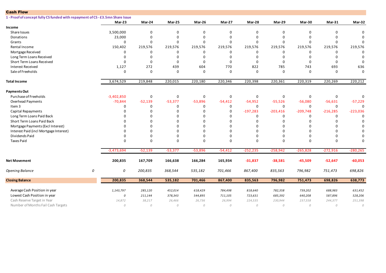| <b>Cash Flow</b>                                                               |   |              |             |             |             |           |             |              |             |            |             |
|--------------------------------------------------------------------------------|---|--------------|-------------|-------------|-------------|-----------|-------------|--------------|-------------|------------|-------------|
| 1 - Proof of concept fully CS funded with repayment of CS - £3.5mn Share Issue |   |              |             |             |             |           |             |              |             |            |             |
|                                                                                |   | Mar-23       | Mar-24      | Mar-25      | Mar-26      | Mar-27    | Mar-28      | Mar-29       | Mar-30      | Mar-31     | Mar-32      |
| Income                                                                         |   |              |             |             |             |           |             |              |             |            |             |
| Share Issues                                                                   |   | 3,500,000    | 0           | $\mathbf 0$ | $\Omega$    | 0         | $\Omega$    | $\Omega$     | $\mathbf 0$ | $\Omega$   | $\Omega$    |
| <b>Donations</b>                                                               |   | 23,000       | 0           | $\mathbf 0$ | $\Omega$    | 0         | 0           | $\Omega$     | $\mathbf 0$ | n          | $\Omega$    |
| Grants                                                                         |   | $\Omega$     | $\Omega$    | $\mathbf 0$ | $\Omega$    | 0         | $\Omega$    | $\Omega$     | $\mathbf 0$ | $\Omega$   | $\Omega$    |
| Rental Income                                                                  |   | 150,402      | 219,576     | 219,576     | 219,576     | 219,576   | 219,576     | 219,576      | 219,576     | 219,576    | 219,576     |
| Mortgage Received                                                              |   | 0            | 0           | 0           | $\Omega$    | 0         | 0           | 0            | 0           | $\Omega$   | $\Omega$    |
| Long Term Loans Received                                                       |   | $\Omega$     | 0           | $\mathbf 0$ | $\Omega$    | 0         | 0           | 0            | $\Omega$    | $\Omega$   | 0           |
| Short Term Loans Received                                                      |   | $\Omega$     | $\Omega$    | $\mathbf 0$ | $\Omega$    | $\Omega$  | $\mathbf 0$ | $\Omega$     | $\mathbf 0$ | $\Omega$   | $\Omega$    |
| <b>Interest Received</b>                                                       |   | 1,127        | 272         | 439         | 604         | 770       | 822         | 785          | 743         | 693        | 636         |
| Sale of Freeholds                                                              |   | 0            | $\mathbf 0$ | $\mathbf 0$ | $\mathbf 0$ | 0         | $\mathbf 0$ | $\mathbf 0$  | $\mathbf 0$ | $\Omega$   | $\Omega$    |
| <b>Total Income</b>                                                            |   | 3,674,529    | 219,848     | 220,015     | 220,180     | 220,346   | 220,398     | 220,361      | 220,319     | 220,269    | 220,212     |
| <b>Payments Out</b>                                                            |   |              |             |             |             |           |             |              |             |            |             |
| Purchase of Freeholds                                                          |   | $-3,402,850$ | 0           | $\mathbf 0$ | $\mathbf 0$ | 0         | 0           | 0            | $\mathbf 0$ | 0          | 0           |
| <b>Overhead Payments</b>                                                       |   | $-70,844$    | $-52,139$   | $-53,377$   | $-53,896$   | $-54,412$ | $-54,952$   | $-55,526$    | $-56,080$   | $-56,631$  | $-57,229$   |
| Item 3                                                                         |   | $\Omega$     | $\Omega$    | $\mathbf 0$ | $\Omega$    | 0         | $\mathbf 0$ | 0            | 0           | $\Omega$   | $\Omega$    |
| Capital Repayments                                                             |   | <sup>0</sup> | $\Omega$    | $\Omega$    | $\Omega$    | 0         | $-197,283$  | $-203,416$   | $-209,748$  | $-216,285$ | $-223,036$  |
| Long Term Loans Paid Back                                                      |   |              | 0           | $\Omega$    | $\Omega$    | 0         | 0           | 0            | 0           | $\Omega$   | $\Omega$    |
| Short Term Loans Paid Back                                                     |   |              | $\Omega$    | $\mathbf 0$ | $\Omega$    | $\Omega$  | $\Omega$    | $\Omega$     | $\Omega$    | $\Omega$   | $\Omega$    |
| Mortgage Payments (Excl Interest)                                              |   |              | $\Omega$    | $\Omega$    | $\Omega$    | $\Omega$  | ŋ           | $\Omega$     | $\Omega$    | n          | $\Omega$    |
| Interest Paid (incl Mortgage Interest)                                         |   |              | $\Omega$    | $\Omega$    | $\Omega$    | 0         | $\Omega$    | <sup>0</sup> | $\Omega$    |            | $\Omega$    |
| Dividends Paid                                                                 |   | $\Omega$     | $\Omega$    | $\mathbf 0$ | $\Omega$    | $\Omega$  | $\Omega$    | $\Omega$     | $\Omega$    |            | $\Omega$    |
| <b>Taxes Paid</b>                                                              |   | $\Omega$     | $\Omega$    | $\Omega$    | $\Omega$    | 0         | $\Omega$    | $\Omega$     | $\Omega$    | $\Omega$   | $\Omega$    |
|                                                                                |   | $-3,473,694$ | $-52,139$   | $-53,377$   | $-53,896$   | $-54,412$ | $-252,235$  | $-258,942$   | $-265,828$  | $-272,916$ | $-280, 265$ |
| <b>Net Movement</b>                                                            |   | 200,835      | 167,709     | 166,638     | 166,284     | 165,934   | $-31,837$   | $-38,581$    | $-45,509$   | $-52,647$  | $-60,053$   |
| Opening Balance                                                                | 0 | 0            | 200,835     | 368,544     | 535,182     | 701,466   | 867,400     | 835,563      | 796,982     | 751,473    | 698,826     |
| <b>Closing Balance</b>                                                         |   | 200,835      | 368,544     | 535,182     | 701,466     | 867,400   | 835,563     | 796,982      | 751,473     | 698,826    | 638,773     |
| Average Cash Position in year                                                  |   | 1,143,797    | 285,120     | 452,014     | 618,429     | 784,498   | 818,640     | 782,358      | 739,202     | 688,983    | 631,452     |
| Lowest Cash Position in year                                                   |   | 0            | 211,144     | 378,343     | 544,895     | 711,105   | 723,631     | 685,392      | 640,208     | 587,896    | 528,206     |
| Cash Reserve Target in Year                                                    |   | 14,872       | 38,217      | 26,466      | 26,736      | 26,994    | 224,535     | 230,944      | 237,558     | 244,377    | 251,398     |
| Number of Months Fail Cash Targets                                             |   | $\mathcal O$ | ${\cal O}$  | ${\cal O}$  | 0           | 0         | ${\cal O}$  | 0            | ${\cal O}$  | 0          | ${\cal O}$  |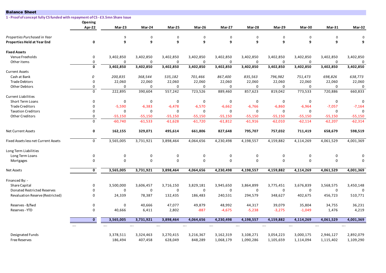| <b>Balance Sheet</b>                                                           |                         |                          |                 |                          |                          |                    |                    |                          |                    |                          |                 |
|--------------------------------------------------------------------------------|-------------------------|--------------------------|-----------------|--------------------------|--------------------------|--------------------|--------------------|--------------------------|--------------------|--------------------------|-----------------|
| 1 - Proof of concept fully CS funded with repayment of CS - £3.5mn Share Issue |                         |                          |                 |                          |                          |                    |                    |                          |                    |                          |                 |
|                                                                                | Opening                 |                          |                 |                          |                          |                    |                    |                          |                    |                          |                 |
|                                                                                | Apr-22                  | Mar-23                   | Mar-24          | Mar-25                   | Mar-26                   | Mar-27             | Mar-28             | Mar-29                   | Mar-30             | $Mar-31$                 | Mar-32          |
| Properties Purchased in Year                                                   |                         | 9                        | 0               | 0                        | $\Omega$                 | $\mathbf 0$        | $\mathbf 0$        | $\mathbf 0$              | $\Omega$           | $\Omega$                 | $\mathbf 0$     |
| Properties Held at Year End                                                    | 0                       | 9                        | 9               | 9                        | 9                        | 9                  | 9                  | 9                        | 9                  | 9                        | 9               |
|                                                                                |                         |                          |                 |                          |                          |                    |                    |                          |                    |                          |                 |
| <b>Fixed Assets</b>                                                            |                         |                          |                 |                          |                          |                    |                    |                          |                    |                          |                 |
| Venue Freeholds                                                                | 0                       | 3,402,850                | 3,402,850       | 3,402,850                | 3,402,850                | 3,402,850          | 3,402,850          | 3,402,850                | 3,402,850          | 3,402,850                | 3,402,850       |
| Other items                                                                    | 0<br>$\mathbf 0$        | $\mathbf 0$<br>3,402,850 | 0<br>3,402,850  | $\mathbf 0$<br>3,402,850 | $\mathbf 0$<br>3,402,850 | 0<br>3,402,850     | 0<br>3,402,850     | $\mathbf 0$<br>3,402,850 | 0<br>3,402,850     | $\mathbf 0$<br>3,402,850 | 0<br>3,402,850  |
| <b>Current Assets</b>                                                          |                         |                          |                 |                          |                          |                    |                    |                          |                    |                          |                 |
| Cash at Bank                                                                   | 0                       | 200,835                  | 368,544         | 535,182                  | 701,466                  | 867,400            | 835,563            | 796,982                  | 751,473            | 698,826                  | 638,773         |
| <b>Trade Debtors</b>                                                           | 0                       | 22,060                   | 22,060          | 22,060                   | 22,060                   | 22,060             | 22,060             | 22,060                   | 22,060             | 22,060                   | 22,060          |
| Other Debtors                                                                  | 0                       | $\Omega$                 | 0               | $\mathbf 0$              | $\mathbf 0$              | $\mathbf 0$        | $\mathbf 0$        | $\mathbf 0$              | $\mathbf 0$        | $\mathbf 0$              | 0               |
|                                                                                | $\mathbf 0$             | 222,895                  | 390,604         | 557,242                  | 723,526                  | 889,460            | 857,623            | 819,042                  | 773,533            | 720,886                  | 660,833         |
| <b>Current Liabilities</b>                                                     |                         |                          |                 |                          |                          |                    |                    |                          |                    |                          |                 |
| Short Term Loans                                                               | 0                       | $\mathbf 0$              | 0               | $\mathbf 0$              | $\mathbf 0$              | 0                  | 0                  | 0                        | $\mathbf 0$        | $\mathbf 0$              | $\Omega$        |
| <b>Trade Creditors</b>                                                         | 0                       | $-5,590$                 | $-6,383$        | $-6,478$                 | $-6,570$                 | $-6,662$           | $-6,766$           | $-6,860$                 | $-6,964$           | $-7,057$                 | $-7,164$        |
| <b>Taxation Creditors</b>                                                      | $\Omega$                | $\mathbf 0$              | $\mathbf 0$     | $\mathbf 0$              | $\mathbf 0$              | $\mathbf 0$        | $\mathbf 0$        | $\mathbf 0$              | $\Omega$           | $\mathbf 0$              | $\Omega$        |
| <b>Other Creditors</b>                                                         | 0                       | $-55,150$                | $-55,150$       | $-55,150$                | $-55,150$                | $-55,150$          | $-55,150$          | $-55,150$                | $-55,150$          | $-55,150$                | -55,150         |
|                                                                                | 0                       | $-60,740$                | $-61,533$       | $-61,628$                | $-61,720$                | $-61,812$          | $-61,916$          | $-62,010$                | $-62,114$          | $-62,207$                | $-62,314$       |
| <b>Net Current Assets</b>                                                      | 0                       | 162,155                  | 329,071         | 495,614                  | 661,806                  | 827,648            | 795,707            | 757,032                  | 711,419            | 658,679                  | 598,519         |
| Fixed Assets less net Current Assets                                           | 0                       | 3,565,005                | 3,731,921       | 3,898,464                | 4,064,656                | 4,230,498          | 4,198,557          | 4,159,882                | 4,114,269          | 4,061,529                | 4,001,369       |
| Long Term Liabilities                                                          |                         |                          |                 |                          |                          |                    |                    |                          |                    |                          |                 |
| Long Term Loans                                                                | 0                       | $\mathsf 0$              | 0               | 0                        | 0                        | 0                  | 0                  | 0                        | 0                  | 0                        | $\Omega$        |
| Mortgages                                                                      | 0                       | $\mathbf 0$              | $\mathbf 0$     | $\mathbf 0$              | $\mathbf 0$              | $\mathbf 0$        | 0                  | $\mathbf 0$              | $\mathbf 0$        | $\mathbf 0$              | $\Omega$        |
| <b>Net Assets</b>                                                              | $\overline{\mathbf{0}}$ | 3,565,005                | 3,731,921       | 3,898,464                | 4,064,656                | 4,230,498          | 4,198,557          | 4,159,882                | 4,114,269          | 4,061,529                | 4,001,369       |
| Financed By: -                                                                 |                         |                          |                 |                          |                          |                    |                    |                          |                    |                          |                 |
| <b>Share Capital</b>                                                           | 0                       | 3,500,000                | 3,606,457       | 3,716,150                | 3,829,181                | 3,945,650          | 3,864,899          | 3,775,451                | 3,676,839          | 3,568,575                | 3,450,148       |
| Donated Restricted Reserves                                                    | 0                       | $\mathbf 0$              | $\mathbf 0$     | $\mathbf 0$              | $\mathbf 0$              | $\mathbf 0$        | $\mathbf 0$        | $\mathbf 0$              | $\mathbf 0$        | $\mathbf 0$              | $\Omega$        |
| Revaluation Reserve (Restricted)                                               | 0                       | 24,339                   | 78,387          | 132,435                  | 186,483                  | 240,531            | 294,579            | 348,627                  | 402,675            | 456,723                  | 510,771         |
|                                                                                |                         |                          |                 |                          |                          |                    |                    |                          |                    |                          |                 |
| Reserves - B/fwd<br>Reserves - YTD                                             | 0<br>0                  | $\mathbf 0$<br>40,666    | 40,666<br>6,411 | 47,077<br>2,802          | 49,879<br>$-887$         | 48,992<br>$-4,675$ | 44,317<br>$-5,238$ | 39,079<br>$-3,275$       | 35,804<br>$-1,049$ | 34,755<br>1,476          | 36,231<br>4,219 |
|                                                                                |                         |                          |                 |                          |                          |                    |                    |                          |                    |                          |                 |
|                                                                                | $\mathbf{0}$            | 3,565,005                | 3,731,921       | 3,898,464                | 4,064,656                | 4,230,498          | 4,198,557          | 4,159,882                | 4,114,269          | 4,061,529                | 4,001,369       |
|                                                                                | $\cdots$                | $\cdots$                 | $\cdots$        | $\cdots$                 | $\ldots$                 | $\cdots$           | $\cdots$           | $\cdots$                 | $\cdots$           | $\cdots$                 | $\cdots$        |
| Designated Funds                                                               |                         | 3,378,511                | 3,324,463       | 3,270,415                | 3,216,367                | 3,162,319          | 3,108,271          | 3,054,223                | 3,000,175          | 2,946,127                | 2,892,079       |
| <b>Free Reserves</b>                                                           |                         | 186,494                  | 407,458         | 628,049                  | 848,289                  | 1,068,179          | 1,090,286          | 1,105,659                | 1,114,094          | 1,115,402                | 1,109,290       |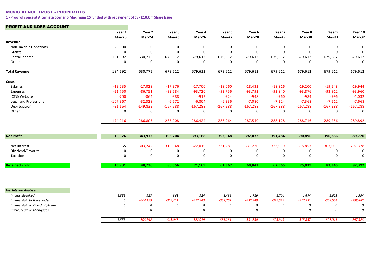#### MUSIC VENUE TRUST - PROPERTIES

**1 - Proof of concept Alternate Scenario Maximum CS funded with repayment of CS - £10.0m Share Issue**

#### PROFIT AND LOSS ACCOUNT

|                                      | Year 1<br>Mar-23 | Year 2<br>Mar-24 | Year 3<br>Mar-25 | Year 4<br>Mar-26 | Year 5<br>Mar-27 | Year 6<br>Mar-28 | Year 7<br>Mar-29 | Year 8<br>Mar-30 | Year 9<br>$Mar-31$ | Year 10<br>Mar-32 |
|--------------------------------------|------------------|------------------|------------------|------------------|------------------|------------------|------------------|------------------|--------------------|-------------------|
| Revenue                              |                  |                  |                  |                  |                  |                  |                  |                  |                    |                   |
| Non-Taxable Donations                | 23,000           | $\mathbf 0$      | $\mathbf 0$      | $\mathbf 0$      | $\mathbf 0$      | $\pmb{0}$        | $\mathbf 0$      | $\mathsf 0$      | $\Omega$           | $\mathbf 0$       |
| Grants                               | 0                | $\mathbf 0$      | $\mathbf 0$      | $\mathbf 0$      | $\mathbf 0$      | 0                | $\mathbf 0$      | $\mathbf 0$      | $\mathbf 0$        | $\mathbf 0$       |
| Rental Income                        | 161,592          | 630,775          | 679,612          | 679,612          | 679,612          | 679,612          | 679,612          | 679,612          | 679,612            | 679,612           |
| Other                                | 0                | $\mathsf 0$      | $\mathbf 0$      | 0                | $\mathbf 0$      | $\mathbf 0$      | $\mathbf 0$      | 0                | $\mathbf 0$        | $\mathbf 0$       |
| <b>Total Revenue</b>                 | 184,592          | 630,775          | 679,612          | 679,612          | 679,612          | 679,612          | 679,612          | 679,612          | 679,612            | 679,612           |
| Costs                                |                  |                  |                  |                  |                  |                  |                  |                  |                    |                   |
| Salaries                             | $-13,235$        | $-17,028$        | $-17,376$        | $-17,700$        | $-18,060$        | $-18,432$        | $-18,816$        | $-19,200$        | $-19,548$          | $-19,944$         |
| Expenses                             | $-21,750$        | $-86,751$        | $-93,684$        | $-93,720$        | $-93,756$        | $-93,792$        | $-93,840$        | $-93,876$        | $-93,912$          | $-93,960$         |
| ICT & Website                        | $-700$           | $-864$           | $-888$           | $-912$           | $-924$           | $-948$           | $-960$           | $-984$           | $-996$             | $-1,032$          |
| Legal and Professional               | $-107,367$       | $-32,328$        | $-6,672$         | $-6,804$         | $-6,936$         | $-7,080$         | $-7,224$         | $-7,368$         | $-7,512$           | $-7,668$          |
| Depreciation                         | $-31,164$        | $-149,832$       | $-167,288$       | $-167,288$       | $-167,288$       | $-167,288$       | $-167,288$       | $-167,288$       | $-167,288$         | $-167,288$        |
| Other                                | $\mathbf 0$      | $\mathbf 0$      | 0                | 0                | 0                | 0                | 0                | 0                | 0                  | $\mathbf 0$       |
|                                      | $-174,216$       | $-286,803$       | $-285,908$       | $-286,424$       | $-286,964$       | $-287,540$       | $-288,128$       | $-288,716$       | $-289,256$         | $-289,892$        |
| <b>Net Profit</b>                    | 10,376           | 343,972          | 393,704          | 393,188          | 392,648          | 392,072          | 391,484          | 390,896          | 390,356            | 389,720           |
|                                      |                  |                  |                  |                  |                  |                  |                  |                  |                    |                   |
| Net Interest                         | 5,555            | $-303,242$       | $-313,048$       | $-322,019$       | $-331,281$       | $-331,230$       | $-323,919$       | $-315,857$       | $-307,011$         | $-297,328$        |
| Dividend/Payouts                     | 0                | $\mathbf 0$      | 0                | $\mathbf 0$      | $\mathbf 0$      | 0                | 0                | 0                | $\mathbf 0$        | 0                 |
| Taxation                             | 0                | $\mathsf 0$      | $\mathbf 0$      | $\mathbf 0$      | $\mathbf 0$      | $\mathsf 0$      | $\mathbf 0$      | $\mathbf 0$      | $\mathbf 0$        | $\mathbf 0$       |
| <b>Retained Profit</b>               | 15,931           | 40,730           | 80,656           | 71,169           | 61,367           | 60,842           | 67,565           | 75,039           | 83,345             | 92,392            |
|                                      |                  |                  |                  |                  |                  |                  |                  |                  |                    |                   |
| <b>Net Interest Analysis</b>         |                  |                  |                  |                  |                  |                  |                  |                  |                    |                   |
| <b>Interest Received</b>             | 5,555            | 917              | 363              | 924              | 1,486            | 1,719            | 1,704            | 1,674            | 1,623              | 1,554             |
| <b>Interest Paid to Shareholders</b> | 0                | $-304,159$       | $-313,411$       | $-322,943$       | $-332,767$       | $-332,949$       | $-325,623$       | $-317,531$       | $-308,634$         | $-298,882$        |
| Interest Paid on Overdraft/Loans     | 0                | 0                | 0                | 0                | 0                | 0                | 0                | 0                | 0                  | 0                 |
| <b>Interest Paid on Mortgages</b>    | 0                | 0                | 0                | 0                | 0                | 0                | 0                | 0                | 0                  | 0                 |
|                                      | 5,555            | $-303,242$       | $-313,048$       | $-322,019$       | $-331,281$       | $-331,230$       | $-323,919$       | $-315,857$       | $-307,011$         | $-297,328$        |
|                                      | $\cdots$         | $\cdots$         | $\cdots$         | $\cdots$         | $\cdots$         | $\cdots$         | $\cdots$         | $\cdots$         | $\cdots$           | $\cdots$          |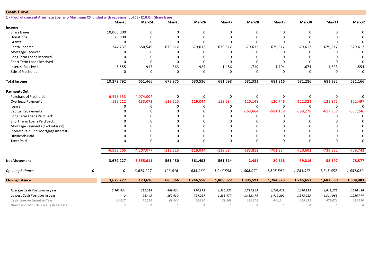| <b>Cash Flow</b>                                                                                    |   |              |              |             |             |            |             |              |             |              |             |
|-----------------------------------------------------------------------------------------------------|---|--------------|--------------|-------------|-------------|------------|-------------|--------------|-------------|--------------|-------------|
| 1 - Proof of concept Alternate Scenario Maximum CS funded with repayment of CS - £10.0m Share Issue |   |              |              |             |             |            |             |              |             |              |             |
|                                                                                                     |   | $Mar-23$     | Mar-24       | Mar-25      | Mar-26      | Mar-27     | Mar-28      | Mar-29       | Mar-30      | $Mar-31$     | Mar-32      |
| Income                                                                                              |   |              |              |             |             |            |             |              |             |              |             |
| Share Issues                                                                                        |   | 10,000,000   | 0            | 0           | $\Omega$    | 0          | $\mathbf 0$ | $\Omega$     | 0           | $\Omega$     | $\mathbf 0$ |
| Donations                                                                                           |   | 23,000       | 0            | $\mathbf 0$ | $\Omega$    | 0          | $\Omega$    | $\Omega$     | $\mathbf 0$ | $\Omega$     | $\Omega$    |
| Grants                                                                                              |   | 0            | $\Omega$     | $\mathbf 0$ | $\Omega$    | $\Omega$   | $\Omega$    | $\Omega$     | 0           | $\Omega$     | $\Omega$    |
| Rental Income                                                                                       |   | 244,237      | 650,549      | 679,612     | 679,612     | 679,612    | 679,612     | 679,612      | 679,612     | 679,612      | 679,612     |
| Mortgage Received                                                                                   |   | 0            | 0            | 0           | $\Omega$    | 0          | 0           | $\Omega$     | 0           | 0            | $\Omega$    |
| Long Term Loans Received                                                                            |   | $\Omega$     | 0            | $\mathbf 0$ | $\Omega$    | 0          | $\Omega$    | $\Omega$     | $\Omega$    | $\mathbf 0$  | $\Omega$    |
| Short Term Loans Received                                                                           |   | $\Omega$     | $\mathbf 0$  | $\mathbf 0$ | $\Omega$    | 0          | $\mathbf 0$ | $\Omega$     | $\Omega$    | $\mathbf 0$  | $\Omega$    |
| <b>Interest Received</b>                                                                            |   | 5,555        | 917          | 363         | 924         | 1,486      | 1,719       | 1,704        | 1,674       | 1,623        | 1,554       |
| Sale of Freeholds                                                                                   |   | $\Omega$     | 0            | $\mathbf 0$ | $\Omega$    | $\Omega$   | $\Omega$    | $\Omega$     | $\Omega$    | $\Omega$     | $\Omega$    |
| <b>Total Income</b>                                                                                 |   | 10,272,792   | 651,466      | 679,975     | 680,536     | 681,098    | 681,331     | 681,316      | 681,286     | 681,235      | 681,166     |
| <b>Payments Out</b>                                                                                 |   |              |              |             |             |            |             |              |             |              |             |
| Purchase of Freeholds                                                                               |   | $-6,458,353$ | $-4,074,004$ | $\mathbf 0$ | $\mathbf 0$ | 0          | $\mathbf 0$ | 0            | 0           | 0            | $\mathbf 0$ |
| Overhead Payments                                                                                   |   | $-135,212$   | $-133,073$   | $-118,525$  | $-119,044$  | $-119,584$ | $-120,148$  | $-120,746$   | $-121,324$  | $-121,875$   | $-122,497$  |
| Item 3                                                                                              |   | 0            | 0            | 0           | 0           | 0          | 0           | $\mathbf 0$  | 0           | 0            | $\Omega$    |
| Capital Repayments                                                                                  |   | $\Omega$     | 0            | $\mathbf 0$ | $\Omega$    | 0          | $-563,664$  | $-581,188$   | $-599,278$  | $-617,957$   | $-637,246$  |
| Long Term Loans Paid Back                                                                           |   |              | 0            | $\mathbf 0$ | $\Omega$    | 0          | 0           | $\Omega$     | 0           | 0            | $\Omega$    |
| Short Term Loans Paid Back                                                                          |   |              | 0            | $\Omega$    | $\Omega$    | 0          | $\Omega$    | $\Omega$     | 0           | $\Omega$     | $\Omega$    |
| Mortgage Payments (Excl Interest)                                                                   |   |              | 0            | $\Omega$    | $\Omega$    | 0          | $\Omega$    |              | $\Omega$    | $\Omega$     | $\Omega$    |
| Interest Paid (incl Mortgage Interest)                                                              |   |              | $\Omega$     | $\Omega$    | $\Omega$    | 0          | $\Omega$    |              | $\Omega$    | $\Omega$     | $\Omega$    |
| Dividends Paid                                                                                      |   |              | $\Omega$     | $\Omega$    | $\Omega$    | 0          | $\Omega$    | $\Omega$     | $\Omega$    | $\Omega$     | $\Omega$    |
| <b>Taxes Paid</b>                                                                                   |   | $\Omega$     | $\Omega$     | $\mathbf 0$ | $\Omega$    | $\Omega$   | $\Omega$    | $\Omega$     | 0           | $\Omega$     | $\Omega$    |
|                                                                                                     |   | $-6,593,565$ | $-4,207,077$ | $-118,525$  | $-119,044$  | $-119,584$ | $-683,812$  | $-701,934$   | $-720,602$  | $-739,832$   | $-759,743$  |
| <b>Net Movement</b>                                                                                 |   | 3,679,227    | $-3,555,611$ | 561,450     | 561,492     | 561,514    | $-2,481$    | $-20,618$    | $-39,316$   | $-58,597$    | $-78,577$   |
| <b>Opening Balance</b>                                                                              | 0 | 0            | 3,679,227    | 123,616     | 685,066     | 1,246,558  | 1,808,072   | 1,805,591    | 1,784,973   | 1,745,657    | 1,687,060   |
| <b>Closing Balance</b>                                                                              |   | 3,679,227    | 123,616      | 685,066     | 1,246,558   | 1,808,072  | 1,805,591   | 1,784,973    | 1,745,657   | 1,687,060    | 1,608,483   |
| Average Cash Position in year                                                                       |   | 5,860,634    | 621,034      | 409,431     | 970,873     | 1,532,352  | 1,717,949   | 1,703,428    | 1,670,393   | 1,618,272    | 1,546,416   |
| Lowest Cash Position in year                                                                        |   | 0            | 98,445       | 162,630     | 724,027     | 1,285,477  | 1,432,476   | 1,412,202    | 1,373,223   | 1,314,963    | 1,236,774   |
| Cash Reserve Target in Year                                                                         |   | 36,927       | 71,526       | 68,486      | 59,310      | 59,568     | 623,502     | 641,314      | 659,698     | 678,671      | 698,230     |
| Number of Months Fail Cash Targets                                                                  |   | 0            | 0            | ${\cal O}$  | 0           | 0          | ${\cal O}$  | $\mathcal O$ | ${\cal O}$  | $\mathcal O$ | ${\cal O}$  |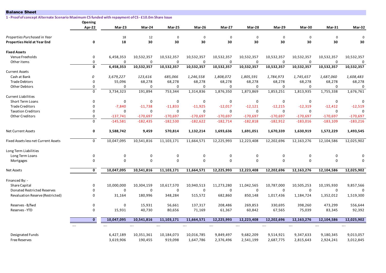| <b>Balance Sheet</b>                                                                                |                         |             |             |             |                           |             |             |             |                 |               |                       |
|-----------------------------------------------------------------------------------------------------|-------------------------|-------------|-------------|-------------|---------------------------|-------------|-------------|-------------|-----------------|---------------|-----------------------|
| 1 - Proof of concept Alternate Scenario Maximum CS funded with repayment of CS - £10.0m Share Issue |                         |             |             |             |                           |             |             |             |                 |               |                       |
|                                                                                                     | Opening                 |             |             |             |                           |             |             |             |                 |               |                       |
|                                                                                                     | Apr-22                  | Mar-23      | Mar-24      | Mar-25      | Mar-26                    | Mar-27      | Mar-28      | Mar-29      | Mar-30          | <b>Mar-31</b> | Mar-32                |
| Properties Purchased in Year                                                                        |                         | 18          | 12          | $\mathbf 0$ | 0                         | $\mathbf 0$ | $\mathbf 0$ | $\mathbf 0$ | $\mathbf 0$     | $\mathbf 0$   | $\mathbf 0$           |
| <b>Properties Held at Year End</b>                                                                  | 0                       | 18          | 30          | 30          | 30                        | 30          | 30          | 30          | 30              | 30            | 30                    |
| <b>Fixed Assets</b>                                                                                 |                         |             |             |             |                           |             |             |             |                 |               |                       |
| Venue Freeholds                                                                                     | 0                       | 6,458,353   | 10,532,357  | 10,532,357  | 10,532,357                | 10,532,357  | 10,532,357  | 10,532,357  | 10,532,357      | 10,532,357    | 10,532,357            |
| Other items                                                                                         | 0                       | 0           | 0           | $\mathbf 0$ | $\mathbf 0$               | $\mathbf 0$ | $\mathbf 0$ | $\mathbf 0$ | 0               | 0             | 0                     |
|                                                                                                     | $\mathbf 0$             | 6,458,353   | 10,532,357  | 10,532,357  | 10,532,357                | 10,532,357  | 10,532,357  | 10,532,357  | 10,532,357      | 10,532,357    | 10,532,357            |
| <b>Current Assets</b>                                                                               |                         |             |             |             |                           |             |             |             |                 |               |                       |
| Cash at Bank                                                                                        | 0                       | 3,679,227   | 123,616     | 685,066     | 1,246,558                 | 1,808,072   | 1,805,591   | 1,784,973   | 1,745,657       | 1,687,060     | 1,608,483             |
| <b>Trade Debtors</b>                                                                                | $\Omega$                | 55,096      | 68,278      | 68,278      | 68,278                    | 68,278      | 68,278      | 68,278      | 68,278          | 68,278        | 68,278                |
| <b>Other Debtors</b>                                                                                | 0                       | $\Omega$    | 0           | $\mathbf 0$ | 0                         | $\mathbf 0$ | $\mathbf 0$ | $\mathbf 0$ | 0               | $\mathbf 0$   | 0                     |
|                                                                                                     | $\mathbf 0$             | 3,734,323   | 191,894     | 753,344     | 1,314,836                 | 1,876,350   | 1,873,869   | 1,853,251   | 1,813,935       | 1,755,338     | 1,676,761             |
| <b>Current Liabilities</b>                                                                          |                         |             |             |             |                           |             |             |             |                 |               |                       |
| <b>Short Term Loans</b>                                                                             | $\mathbf 0$             | $\mathbf 0$ | $\mathbf 0$ | $\mathbf 0$ | $\mathbf 0$               | $\mathbf 0$ | $\mathbf 0$ | $\mathbf 0$ | $\mathbf 0$     | $\mathbf 0$   | $\Omega$              |
| <b>Trade Creditors</b>                                                                              | $\mathbf 0$             | $-7,840$    | $-11,738$   | $-11,833$   | $-11,925$                 | $-12,017$   | $-12,121$   | $-12,215$   | $-12,319$       | $-12,412$     | $-12,519$             |
| <b>Taxation Creditors</b>                                                                           | $\Omega$                | $\Omega$    | $\mathbf 0$ | $\mathbf 0$ | $\mathbf 0$               | $\mathbf 0$ | $\mathbf 0$ | $\mathbf 0$ | $\Omega$        | 0             | $\Omega$              |
| <b>Other Creditors</b>                                                                              | $\mathbf 0$             | $-137,741$  | $-170,697$  | $-170,697$  | $-170,697$                | $-170,697$  | $-170,697$  | $-170,697$  | $-170,697$      | $-170,697$    | $-170,697$            |
|                                                                                                     | $\mathbf 0$             | $-145,581$  | $-182,435$  | $-182,530$  | $-182,622$                | $-182,714$  | $-182,818$  | $-182,912$  | $-183,016$      | $-183,109$    | $-183,216$            |
| <b>Net Current Assets</b>                                                                           | 0                       | 3,588,742   | 9,459       | 570,814     | 1,132,214                 | 1,693,636   | 1,691,051   | 1,670,339   | 1,630,919       | 1,572,229     | 1,493,545             |
| Fixed Assets less net Current Assets                                                                | $\mathbf 0$             | 10,047,095  | 10,541,816  | 11,103,171  | 11,664,571                | 12,225,993  | 12,223,408  | 12,202,696  | 12,163,276      | 12,104,586    | 12,025,902            |
| Long Term Liabilities                                                                               |                         |             |             |             |                           |             |             |             |                 |               |                       |
| Long Term Loans                                                                                     | $\pmb{0}$               | 0           | $\pmb{0}$   | $\pmb{0}$   | $\mathbf 0$               | $\mathbf 0$ | $\pmb{0}$   | $\pmb{0}$   | 0               | 0             | $\Omega$              |
| Mortgages                                                                                           | $\mathbf 0$             | $\mathbf 0$ | $\mathbf 0$ | $\mathbf 0$ | $\mathbf 0$               | $\mathbf 0$ | $\mathbf 0$ | $\mathbf 0$ | $\mathbf 0$     | $\mathbf 0$   | $\Omega$              |
| <b>Net Assets</b>                                                                                   | 0                       | 10,047,095  | 10,541,816  | 11,103,171  | 11,664,571                | 12,225,993  | 12,223,408  | 12,202,696  | 12,163,276      | 12,104,586    | 12,025,902            |
|                                                                                                     |                         |             |             |             |                           |             |             |             |                 |               |                       |
| Financed By: -<br>Share Capital                                                                     | $\mathbf 0$             | 10,000,000  | 10,304,159  | 10,617,570  |                           | 11,273,280  | 11,042,565  | 10,787,000  |                 | 10,195,930    |                       |
| Donated Restricted Reserves                                                                         | 0                       | 0           | $\mathbf 0$ | $\mathbf 0$ | 10,940,513<br>$\mathbf 0$ | $\mathbf 0$ | 0           | $\mathbf 0$ | 10,505,253<br>0 | 0             | 9,857,566<br>$\Omega$ |
| Revaluation Reserve (Restricted)                                                                    | 0                       | 31,164      | 180,996     | 348,284     | 515,572                   | 682,860     | 850,148     | 1,017,436   | 1,184,724       | 1,352,012     | 1,519,300             |
|                                                                                                     |                         |             |             |             |                           |             |             |             |                 |               |                       |
| Reserves - B/fwd                                                                                    | 0                       | 0           | 15,931      | 56,661      | 137,317                   | 208,486     | 269,853     | 330,695     | 398,260         | 473,299       | 556,644               |
| Reserves - YTD                                                                                      | $\mathbf 0$             | 15,931      | 40,730      | 80,656      | 71,169                    | 61,367      | 60,842      | 67,565      | 75,039          | 83,345        | 92,392                |
|                                                                                                     | $\overline{\mathbf{0}}$ | 10,047,095  | 10,541,816  | 11,103,171  | 11,664,571                | 12,225,993  | 12,223,408  | 12,202,696  | 12,163,276      | 12,104,586    | 12,025,902            |
|                                                                                                     | $\ldots$                |             | $\cdots$    |             | $\cdots$                  | $\ldots$    | $\ldots$    | $\cdots$    | $\cdots$        | $\ldots$      | $\ldots$              |
| Designated Funds                                                                                    |                         | 6,427,189   | 10,351,361  | 10,184,073  | 10,016,785                | 9,849,497   | 9,682,209   | 9,514,921   | 9,347,633       | 9,180,345     | 9,013,057             |
| <b>Free Reserves</b>                                                                                |                         | 3,619,906   | 190,455     | 919,098     | 1,647,786                 | 2,376,496   | 2,541,199   | 2,687,775   | 2,815,643       | 2,924,241     | 3,012,845             |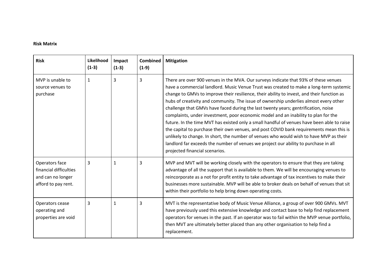# **Risk Matrix**

| <b>Risk</b>                                                                          | Likelihood<br>$(1-3)$ | Impact<br>$(1-3)$ | <b>Combined</b><br>$(1-9)$ | <b>Mitigation</b>                                                                                                                                                                                                                                                                                                                                                                                                                                                                                                                                                                                                                                                                                                                                                                                                                                                                                                                                            |
|--------------------------------------------------------------------------------------|-----------------------|-------------------|----------------------------|--------------------------------------------------------------------------------------------------------------------------------------------------------------------------------------------------------------------------------------------------------------------------------------------------------------------------------------------------------------------------------------------------------------------------------------------------------------------------------------------------------------------------------------------------------------------------------------------------------------------------------------------------------------------------------------------------------------------------------------------------------------------------------------------------------------------------------------------------------------------------------------------------------------------------------------------------------------|
| MVP is unable to<br>source venues to<br>purchase                                     | $\mathbf{1}$          | 3                 | 3                          | There are over 900 venues in the MVA. Our surveys indicate that 93% of these venues<br>have a commercial landlord. Music Venue Trust was created to make a long-term systemic<br>change to GMVs to improve their resilience, their ability to invest, and their function as<br>hubs of creativity and community. The issue of ownership underlies almost every other<br>challenge that GMVs have faced during the last twenty years; gentrification, noise<br>complaints, under investment, poor economic model and an inability to plan for the<br>future. In the time MVT has existed only a small handful of venues have been able to raise<br>the capital to purchase their own venues, and post COVID bank requirements mean this is<br>unlikely to change. In short, the number of venues who would wish to have MVP as their<br>landlord far exceeds the number of venues we project our ability to purchase in all<br>projected financial scenarios. |
| Operators face<br>financial difficulties<br>and can no longer<br>afford to pay rent. | 3                     | 1                 | 3                          | MVP and MVT will be working closely with the operators to ensure that they are taking<br>advantage of all the support that is available to them. We will be encouraging venues to<br>reincorporate as a not for profit entity to take advantage of tax incentives to make their<br>businesses more sustainable. MVP will be able to broker deals on behalf of venues that sit<br>within their portfolio to help bring down operating costs.                                                                                                                                                                                                                                                                                                                                                                                                                                                                                                                  |
| Operators cease<br>operating and<br>properties are void                              | 3                     | 1                 | 3                          | MVT is the representative body of Music Venue Alliance, a group of over 900 GMVs. MVT<br>have previously used this extensive knowledge and contact base to help find replacement<br>operators for venues in the past. If an operator was to fail within the MVP venue portfolio,<br>then MVT are ultimately better placed than any other organisation to help find a<br>replacement.                                                                                                                                                                                                                                                                                                                                                                                                                                                                                                                                                                         |